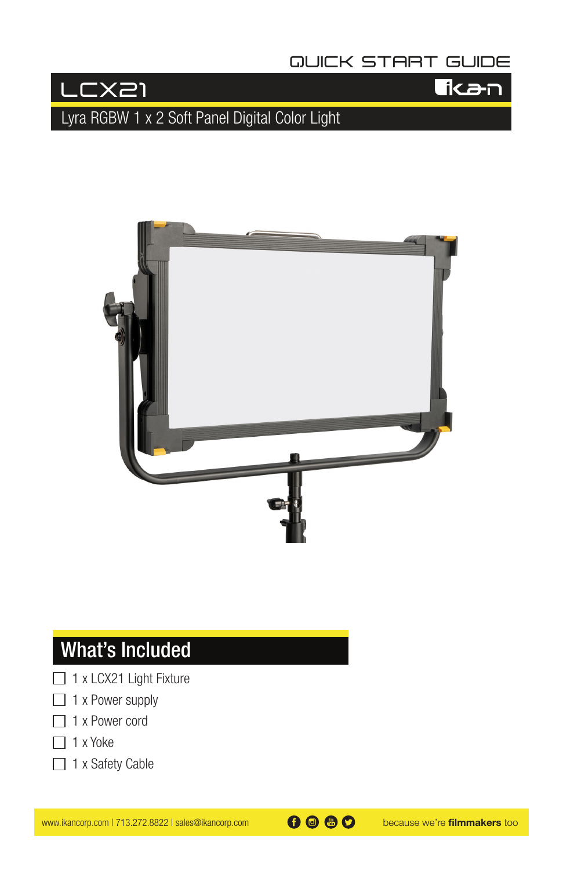### **QUICK START GUIDE**



**T**kan

Lyra RGBW 1 x 2 Soft Panel Digital Color Light



## What's Included

- □ 1 x LCX21 Light Fixture
- $\Box$  1 x Power supply
- $\Box$  1 x Power cord
- $\Box$  1 x Yoke
- □ 1 x Safety Cable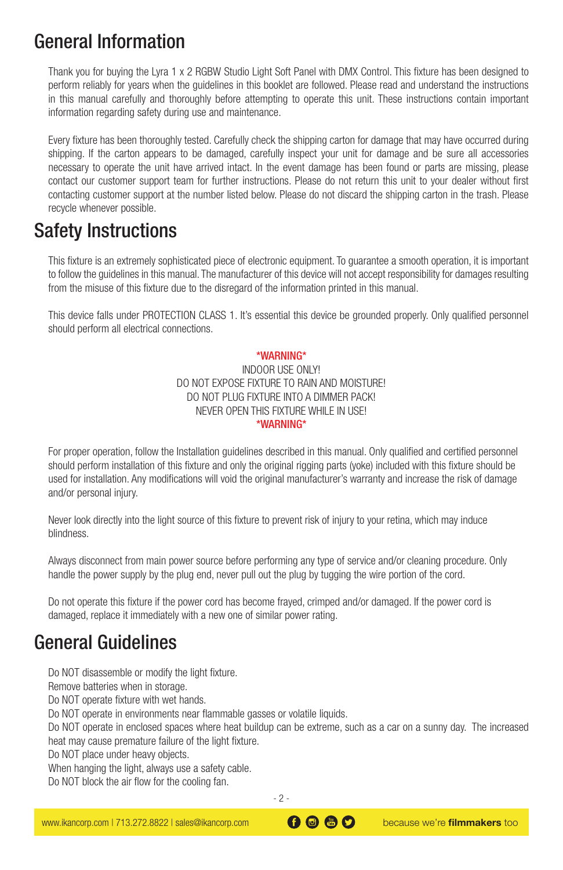## General Information

Thank you for buying the Lyra 1 x 2 RGBW Studio Light Soft Panel with DMX Control. This fixture has been designed to perform reliably for years when the guidelines in this booklet are followed. Please read and understand the instructions in this manual carefully and thoroughly before attempting to operate this unit. These instructions contain important information regarding safety during use and maintenance.

Every fixture has been thoroughly tested. Carefully check the shipping carton for damage that may have occurred during shipping. If the carton appears to be damaged, carefully inspect your unit for damage and be sure all accessories necessary to operate the unit have arrived intact. In the event damage has been found or parts are missing, please contact our customer support team for further instructions. Please do not return this unit to your dealer without first contacting customer support at the number listed below. Please do not discard the shipping carton in the trash. Please recycle whenever possible.

## Safety Instructions

This fixture is an extremely sophisticated piece of electronic equipment. To guarantee a smooth operation, it is important to follow the guidelines in this manual. The manufacturer of this device will not accept responsibility for damages resulting from the misuse of this fixture due to the disregard of the information printed in this manual.

This device falls under PROTECTION CLASS 1. It's essential this device be grounded properly. Only qualified personnel should perform all electrical connections.

#### \*WARNING\*

#### INDOOR USE ONLY! DO NOT EXPOSE FIXTURE TO RAIN AND MOISTURE! DO NOT PLUG FIXTURE INTO A DIMMER PACK! NEVER OPEN THIS FIXTURE WHILE IN USE! \*WARNING\*

For proper operation, follow the Installation guidelines described in this manual. Only qualified and certified personnel should perform installation of this fixture and only the original rigging parts (yoke) included with this fixture should be used for installation. Any modifications will void the original manufacturer's warranty and increase the risk of damage and/or personal injury.

Never look directly into the light source of this fixture to prevent risk of injury to your retina, which may induce blindness.

Always disconnect from main power source before performing any type of service and/or cleaning procedure. Only handle the power supply by the plug end, never pull out the plug by tugging the wire portion of the cord.

Do not operate this fixture if the power cord has become frayed, crimped and/or damaged. If the power cord is damaged, replace it immediately with a new one of similar power rating.

## General Guidelines

Do NOT disassemble or modify the light fixture.

Remove batteries when in storage.

Do NOT operate fixture with wet hands.

Do NOT operate in environments near flammable gasses or volatile liquids.

Do NOT operate in enclosed spaces where heat buildup can be extreme, such as a car on a sunny day. The increased heat may cause premature failure of the light fixture.

Do NOT place under heavy objects.

When hanging the light, always use a safety cable.

Do NOT block the air flow for the cooling fan.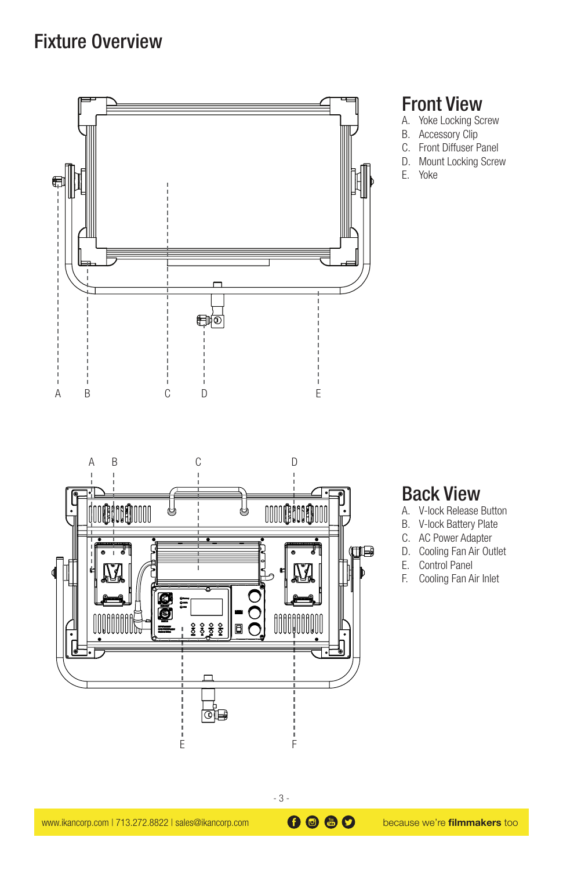## Fixture Overview



### Front View

- A. Yoke Locking Screw
- B. Accessory Clip
- C. Front Diffuser Panel
- D. Mount Locking Screw
- E. Yoke



### Back View

- A. V-lock Release Button
- B. V-lock Battery Plate
- C. AC Power Adapter
- D. Cooling Fan Air Outlet
- E. Control Panel
- F. Cooling Fan Air Inlet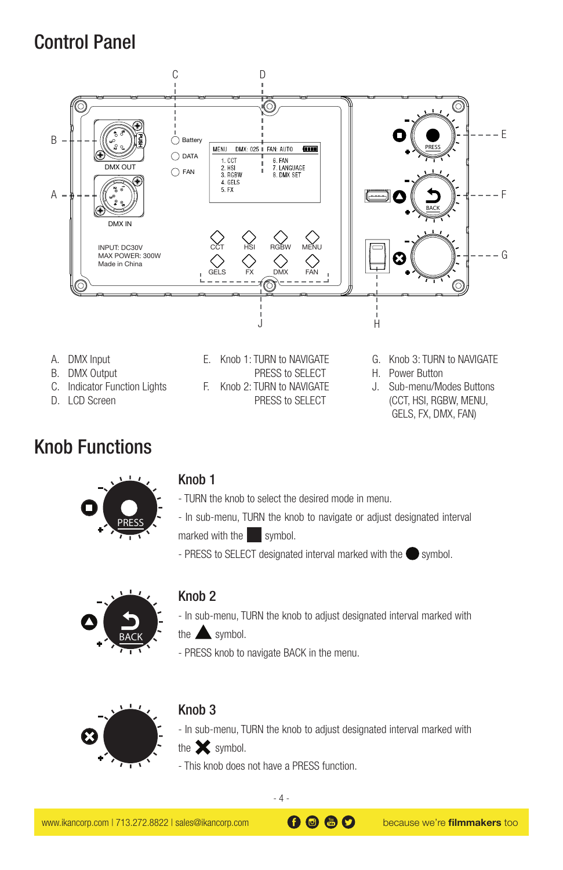## Control Panel



D. LCD Screen

## Knob Functions



#### Knob 1

- TURN the knob to select the desired mode in menu.

PRESS to SELECT

- In sub-menu, TURN the knob to navigate or adjust designated interval marked with the symbol.
- PRESS to SELECT designated interval marked with the symbol.



#### Knob 2

- In sub-menu, TURN the knob to adjust designated interval marked with
- the  $\triangle$  symbol.
- PRESS knob to navigate BACK in the menu.



#### Knob 3

- In sub-menu, TURN the knob to adjust designated interval marked with the  $\mathbf{\times}$  symbol.

- This knob does not have a PRESS function.

(CCT, HSI, RGBW, MENU, GELS, FX, DMX, FAN)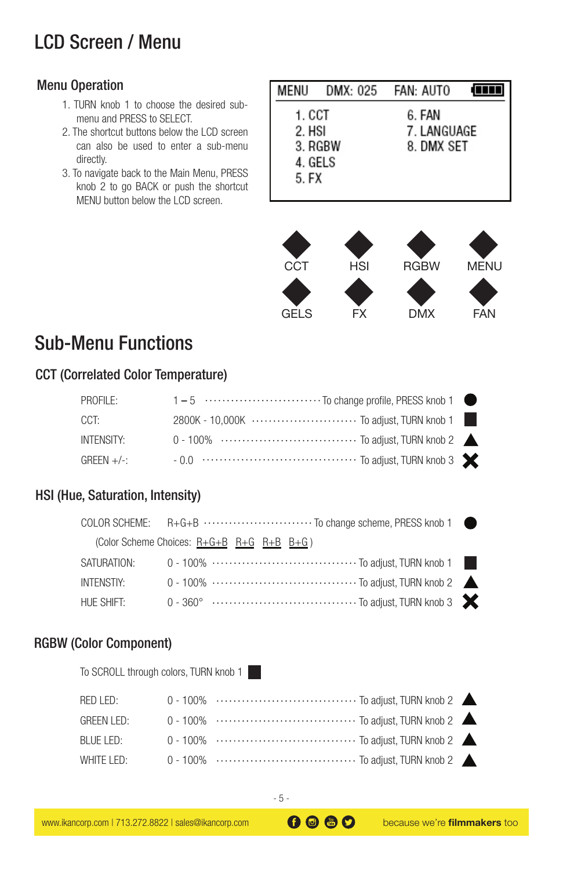## LCD Screen / Menu

### Menu Operation

- 1. TURN knob 1 to choose the desired submenu and PRESS to SELECT.
- 2. The shortcut buttons below the LCD screen can also be used to enter a sub-menu directly.
- 3. To navigate back to the Main Menu, PRESS knob 2 to go BACK or push the shortcut MENU button below the LCD screen.

| MENU    |         | DMX: 025 FAN: AUTO |  |
|---------|---------|--------------------|--|
| 1. CCT  |         | 6. FAN             |  |
| 2. HSI  |         | 7. LANGUAGE        |  |
|         | 3. RGBW | 8. DMX SET         |  |
| 4. GELS |         |                    |  |
| 5. FX   |         |                    |  |
|         |         |                    |  |
|         |         |                    |  |





## Sub-Menu Functions

### CCT (Correlated Color Temperature)

| PROFILE:    | 1 – 5 ………………………… To change profile, PRESS knob 1 ●                     |  |
|-------------|------------------------------------------------------------------------|--|
| CCT:        | 2800K - 10.000K ······························· To adiust. TURN knob 1 |  |
| INTENSITY:  |                                                                        |  |
| $GREFN +/-$ |                                                                        |  |

### HSI (Hue, Saturation, Intensity)

|             | COLOR SCHEME: R+G+B ····························· To change scheme, PRESS knob 1 ● |  |
|-------------|------------------------------------------------------------------------------------|--|
|             | (Color Scheme Choices: $R + G + B$ $R + G$ $R + B$ $B + G$ )                       |  |
| SATURATION: |                                                                                    |  |
| INTENSTIY:  |                                                                                    |  |
| HUE SHIFT:  |                                                                                    |  |

#### RGBW (Color Component)

To SCROLL through colors, TURN knob 1 - 1

| RED LED:          |  |  |
|-------------------|--|--|
| <b>GREEN LED:</b> |  |  |
| BLUE LED:         |  |  |
| WHITE LED:        |  |  |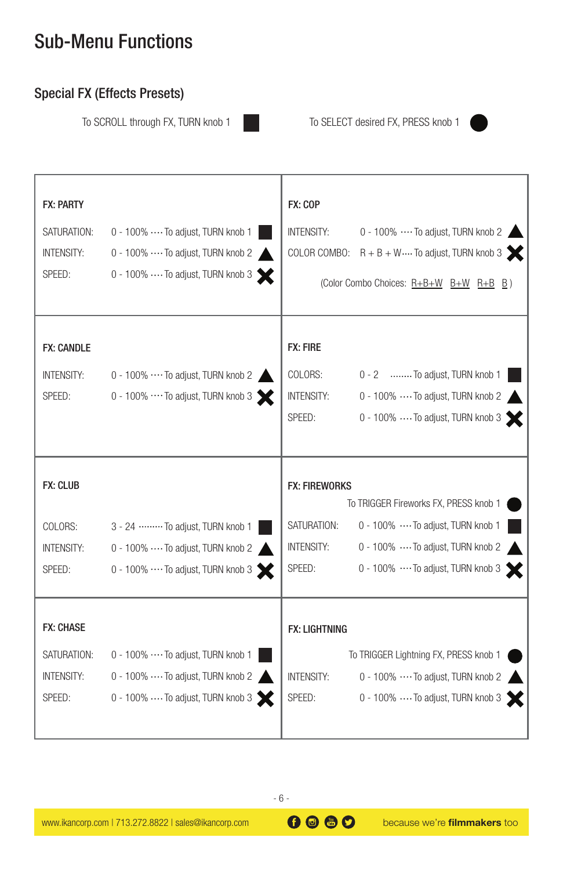## Sub-Menu Functions

### Special FX (Effects Presets)

To SCROLL through FX, TURN knob 1 To SELECT desired FX, PRESS knob 1



| <b>FX: PARTY</b><br>SATURATION:<br><b>INTENSITY:</b><br>SPEED: | 0 - 100%  To adjust, TURN knob 1<br>0 - 100% ···· To adjust, TURN knob 2<br>0 - 100%  To adjust, TURN knob 3                 | FX: COP<br><b>INTENSITY:</b>                                | 0 - 100%  To adjust, TURN knob 2<br>COLOR COMBO: $R + B + W \cdots$ To adjust, TURN knob 3<br>(Color Combo Choices: R+B+W B+W R+B B)                  |
|----------------------------------------------------------------|------------------------------------------------------------------------------------------------------------------------------|-------------------------------------------------------------|-------------------------------------------------------------------------------------------------------------------------------------------------------|
| <b>FX: CANDLE</b><br><b>INTENSITY:</b><br>SPEED:               | 0 - 100%  To adjust, TURN knob 2<br>0 - 100% $\cdots$ To adjust, TURN knob 3                                                 | <b>FX: FIRE</b><br>COLORS:<br><b>INTENSITY:</b><br>SPEED:   | 0 - 2 To adjust, TURN knob 1<br>0 - 100%  To adjust, TURN knob 2<br>0 - 100%  To adjust, TURN knob 3                                                  |
| <b>FX: CLUB</b><br>COLORS:<br><b>INTENSITY:</b><br>SPEED:      | 3 - 24 ……… To adjust, TURN knob 1<br>$0 - 100\%$ $\cdots$ To adjust, TURN knob 2<br>0 - 100% ···· To adjust, TURN knob 3     | <b>FX: FIREWORKS</b><br>SATURATION:<br>INTENSITY:<br>SPEED: | To TRIGGER Fireworks FX, PRESS knob 1<br>0 - 100%  To adjust, TURN knob 1<br>0 - 100%  To adjust, TURN knob 2<br>0 - 100% ···· To adjust, TURN knob 3 |
| <b>FX: CHASE</b><br>SATURATION:<br><b>INTENSITY:</b><br>SPEED: | 0 - 100%  To adjust, TURN knob 1<br>$0 - 100\% \cdots$ To adjust, TURN knob 2<br>$0 - 100\%$ $\cdots$ To adjust, TURN knob 3 | <b>FX: LIGHTNING</b><br><b>INTENSITY:</b><br>SPEED:         | To TRIGGER Lightning FX, PRESS knob 1<br>0 - 100% ···· To adjust, TURN knob 2<br>0 - 100%  To adjust, TURN knob 3                                     |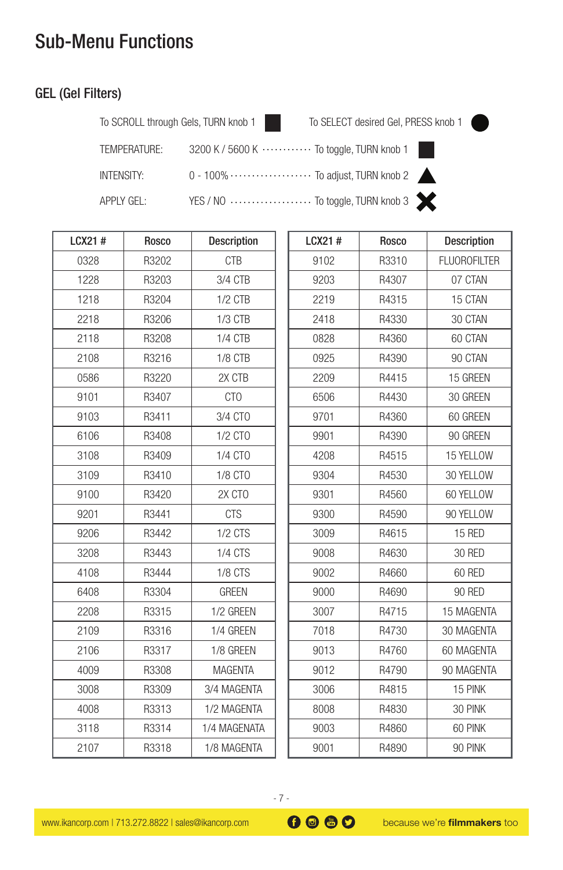## Sub-Menu Functions

### GEL (Gel Filters)

To SCROLL through Gels, TURN knob 1 To SELECT desired Gel, PRESS knob 1

**Description FLUOROFILTER** 07 CTAN 15 CTAN 30 CTAN 60 CTAN 90 CTAN 15 GREEN 30 GREEN 60 GREEN 90 GREEN 15 YELLOW 30 YELLOW 60 YELLOW 90 YELLOW 15 RED 30 RED 60 RED 90 RED 15 MAGENTA 30 MAGENTA 60 MAGENTA 90 MAGENTA 15 PINK 30 PINK 60 PINK 90 PINK

| TEMPERATURE:      | 3200 K / 5600 K ············· To toggle, TURN knob 1          |  |
|-------------------|---------------------------------------------------------------|--|
| <b>INTENSITY:</b> | 0 - 100% · · · · · · · · · · · · · · · To adjust, TURN knob 2 |  |
| APPLY GEL:        | YES / NO  To toggle, TURN knob 3                              |  |

| LCX21# | Rosco | Description    | LCX21# | Rosco |  |
|--------|-------|----------------|--------|-------|--|
| 0328   | R3202 | <b>CTB</b>     | 9102   | R3310 |  |
| 1228   | R3203 | 3/4 CTB        | 9203   | R4307 |  |
| 1218   | R3204 | $1/2$ CTB      | 2219   | R4315 |  |
| 2218   | R3206 | $1/3$ CTB      | 2418   | R4330 |  |
| 2118   | R3208 | $1/4$ CTB      | 0828   | R4360 |  |
| 2108   | R3216 | 1/8 CTB        | 0925   | R4390 |  |
| 0586   | R3220 | 2X CTB         | 2209   | R4415 |  |
| 9101   | R3407 | CTO            | 6506   | R4430 |  |
| 9103   | R3411 | 3/4 CTO        | 9701   | R4360 |  |
| 6106   | R3408 | 1/2 CTO        | 9901   | R4390 |  |
| 3108   | R3409 | 1/4 CTO        | 4208   | R4515 |  |
| 3109   | R3410 | 1/8 CTO        | 9304   | R4530 |  |
| 9100   | R3420 | 2X CTO         | 9301   | R4560 |  |
| 9201   | R3441 | <b>CTS</b>     | 9300   | R4590 |  |
| 9206   | R3442 | $1/2$ CTS      | 3009   | R4615 |  |
| 3208   | R3443 | <b>1/4 CTS</b> | 9008   | R4630 |  |
| 4108   | R3444 | 1/8 CTS        | 9002   | R4660 |  |
| 6408   | R3304 | <b>GREEN</b>   | 9000   | R4690 |  |
| 2208   | R3315 | 1/2 GREEN      | 3007   | R4715 |  |
| 2109   | R3316 | 1/4 GREEN      | 7018   | R4730 |  |
| 2106   | R3317 | 1/8 GREEN      | 9013   | R4760 |  |
| 4009   | R3308 | <b>MAGENTA</b> | 9012   | R4790 |  |
| 3008   | R3309 | 3/4 MAGENTA    | 3006   | R4815 |  |
| 4008   | R3313 | 1/2 MAGENTA    | 8008   | R4830 |  |
| 3118   | R3314 | 1/4 MAGENATA   | 9003   | R4860 |  |
| 2107   | R3318 | 1/8 MAGENTA    | 9001   | R4890 |  |
|        |       |                |        |       |  |

| because we're filmmake |  |  |
|------------------------|--|--|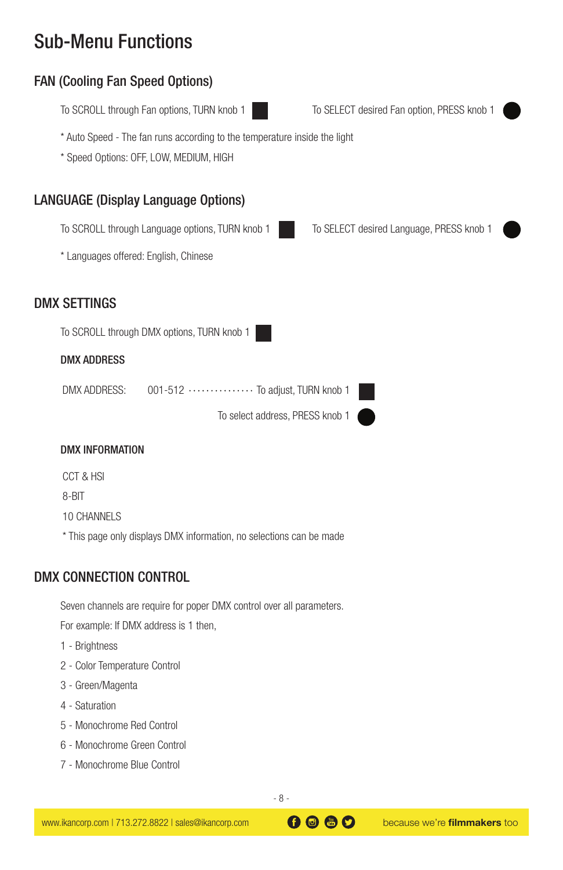## Sub-Menu Functions

### FAN (Cooling Fan Speed Options)

To SCROLL through Fan options, TURN knob 1

To SELECT desired Fan option, PRESS knob 1

To SELECT desired Language, PRESS knob 1

\* Auto Speed - The fan runs according to the temperature inside the light

\* Speed Options: OFF, LOW, MEDIUM, HIGH

### LANGUAGE (Display Language Options)

To SCROLL through Language options, TURN knob 1

\* Languages offered: English, Chinese

### DMX SETTINGS

To SCROLL through DMX options, TURN knob 1

#### DMX ADDRESS

001-512 ............... To adjust, TURN knob 1 DMX ADDRESS:

To select address, PRESS knob 1

#### DMX INFORMATION

CCT & HSI 8-BIT 10 CHANNELS \* This page only displays DMX information, no selections can be made

#### DMX CONNECTION CONTROL

Seven channels are require for poper DMX control over all parameters.

For example: If DMX address is 1 then,

- 1 Brightness
- 2 Color Temperature Control
- 3 Green/Magenta
- 4 Saturation
- 5 Monochrome Red Control
- 6 Monochrome Green Control
- 7 Monochrome Blue Control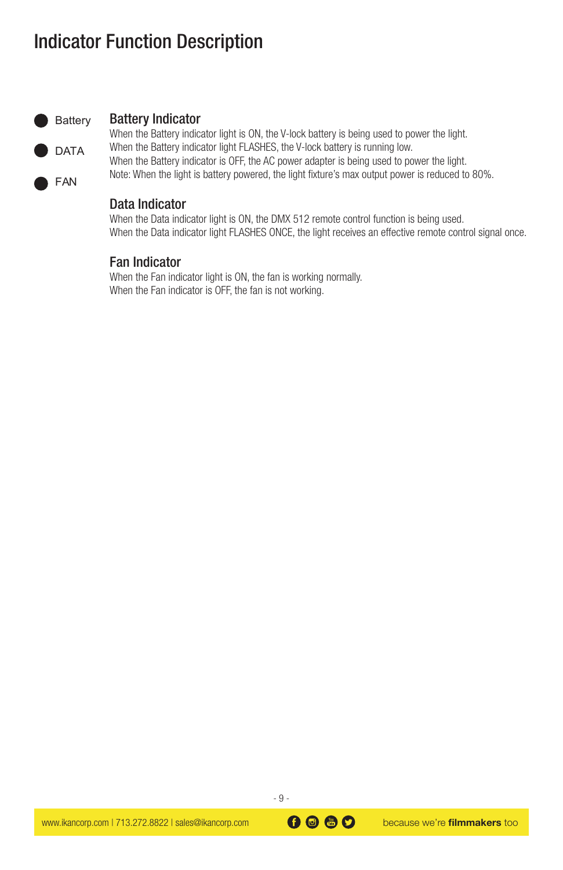## Indicator Function Description



#### Battery Indicator

When the Battery indicator light is ON, the V-lock battery is being used to power the light. When the Battery indicator light FLASHES, the V-lock battery is running low. When the Battery indicator is OFF, the AC power adapter is being used to power the light. Note: When the light is battery powered, the light fixture's max output power is reduced to 80%.

#### Data Indicator

When the Data indicator light is ON, the DMX 512 remote control function is being used. When the Data indicator light FLASHES ONCE, the light receives an effective remote control signal once.

#### Fan Indicator

When the Fan indicator light is ON, the fan is working normally. When the Fan indicator is OFF, the fan is not working.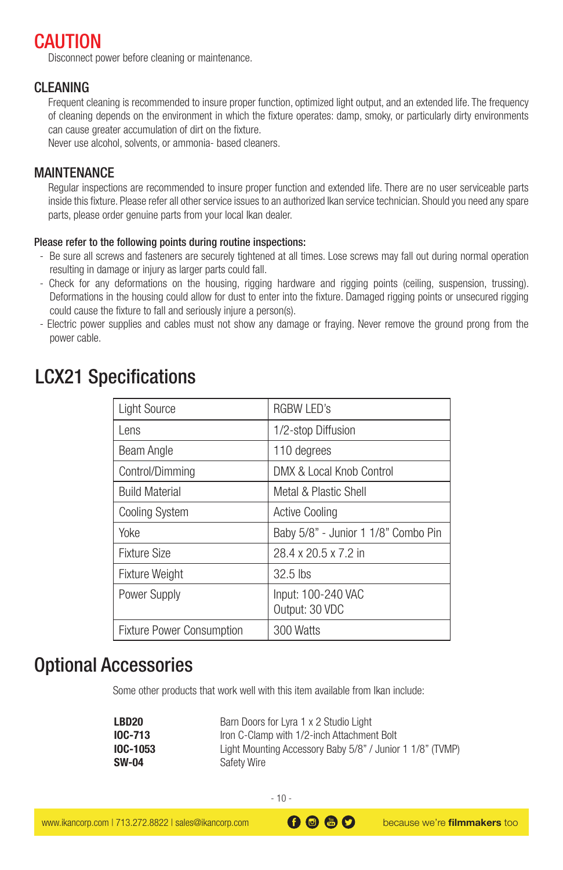### **CAUTION**

Disconnect power before cleaning or maintenance.

#### CLEANING

Frequent cleaning is recommended to insure proper function, optimized light output, and an extended life. The frequency of cleaning depends on the environment in which the fixture operates: damp, smoky, or particularly dirty environments can cause greater accumulation of dirt on the fixture.

Never use alcohol, solvents, or ammonia- based cleaners.

### MAINTENANCE

Regular inspections are recommended to insure proper function and extended life. There are no user serviceable parts inside this fixture. Please refer all other service issues to an authorized Ikan service technician. Should you need any spare parts, please order genuine parts from your local Ikan dealer.

#### Please refer to the following points during routine inspections:

- Be sure all screws and fasteners are securely tightened at all times. Lose screws may fall out during normal operation resulting in damage or injury as larger parts could fall.
- Check for any deformations on the housing, rigging hardware and rigging points (ceiling, suspension, trussing). Deformations in the housing could allow for dust to enter into the fixture. Damaged rigging points or unsecured rigging could cause the fixture to fall and seriously injure a person(s).
- Electric power supplies and cables must not show any damage or fraying. Never remove the ground prong from the power cable.

|  | <b>LCX21 Specifications</b> |  |
|--|-----------------------------|--|
|--|-----------------------------|--|

| <b>Light Source</b>              | RGBW LED's                           |
|----------------------------------|--------------------------------------|
| Lens                             | 1/2-stop Diffusion                   |
| Beam Angle                       | 110 degrees                          |
| Control/Dimming                  | DMX & Local Knob Control             |
| <b>Build Material</b>            | Metal & Plastic Shell                |
| <b>Cooling System</b>            | <b>Active Cooling</b>                |
| Yoke                             | Baby 5/8" - Junior 1 1/8" Combo Pin  |
| Fixture Size                     | 28.4 x 20.5 x 7.2 in                 |
| <b>Fixture Weight</b>            | 32.5 lbs                             |
| Power Supply                     | Input: 100-240 VAC<br>Output: 30 VDC |
| <b>Fixture Power Consumption</b> | 300 Watts                            |

### Optional Accessories

Some other products that work well with this item available from Ikan include:

| LBD20           | Barn Doors for Lyra 1 x 2 Studio Light                    |
|-----------------|-----------------------------------------------------------|
| <b>IOC-713</b>  | Iron C-Clamp with 1/2-inch Attachment Bolt                |
| <b>IOC-1053</b> | Light Mounting Accessory Baby 5/8" / Junior 1 1/8" (TVMP) |
| <b>SW-04</b>    | Safety Wire                                               |